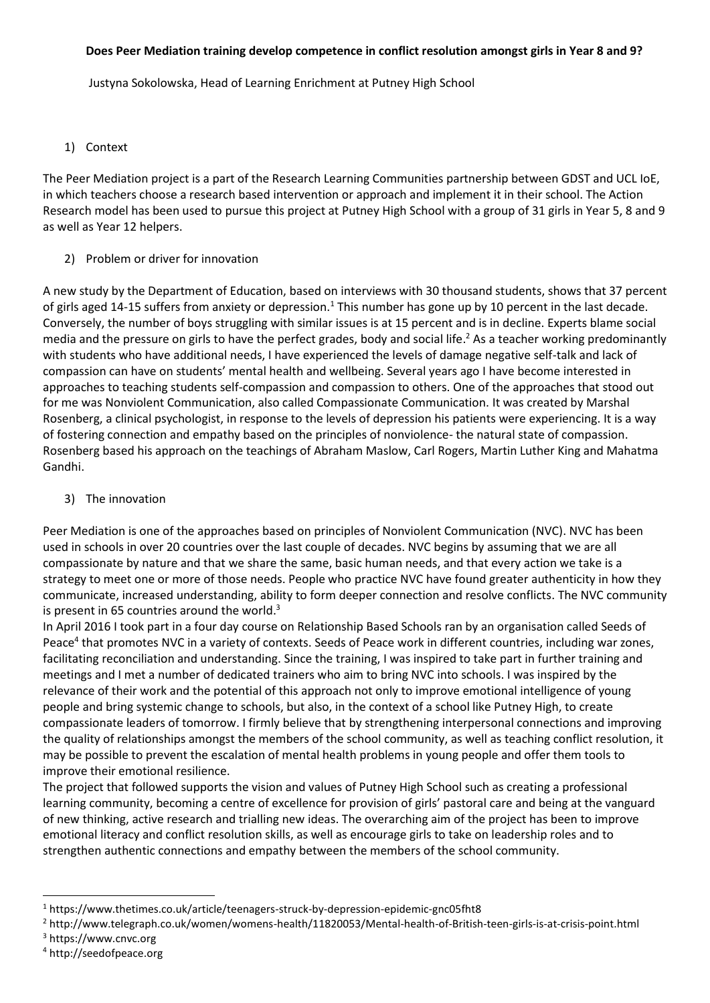#### **Does Peer Mediation training develop competence in conflict resolution amongst girls in Year 8 and 9?**

Justyna Sokolowska, Head of Learning Enrichment at Putney High School

#### 1) Context

The Peer Mediation project is a part of the Research Learning Communities partnership between GDST and UCL IoE, in which teachers choose a research based intervention or approach and implement it in their school. The Action Research model has been used to pursue this project at Putney High School with a group of 31 girls in Year 5, 8 and 9 as well as Year 12 helpers.

2) Problem or driver for innovation

A new study by the Department of Education, based on interviews with 30 thousand students, shows that 37 percent of girls aged 14-15 suffers from anxiety or depression.<sup>1</sup> This number has gone up by 10 percent in the last decade. Conversely, the number of boys struggling with similar issues is at 15 percent and is in decline. Experts blame social media and the pressure on girls to have the perfect grades, body and social life. <sup>2</sup> As a teacher working predominantly with students who have additional needs, I have experienced the levels of damage negative self-talk and lack of compassion can have on students' mental health and wellbeing. Several years ago I have become interested in approaches to teaching students self-compassion and compassion to others. One of the approaches that stood out for me was Nonviolent Communication, also called Compassionate Communication. It was created by Marshal Rosenberg, a clinical psychologist, in response to the levels of depression his patients were experiencing. It is a way of fostering connection and empathy based on the principles of nonviolence- the natural state of compassion. Rosenberg based his approach on the teachings of Abraham Maslow, Carl Rogers, Martin Luther King and Mahatma Gandhi.

3) The innovation

Peer Mediation is one of the approaches based on principles of Nonviolent Communication (NVC). NVC has been used in schools in over 20 countries over the last couple of decades. NVC begins by assuming that we are all compassionate by nature and that we share the same, basic human needs, and that every action we take is a strategy to meet one or more of those needs. People who practice NVC have found greater authenticity in how they communicate, increased understanding, ability to form deeper connection and resolve conflicts. The NVC community is present in 65 countries around the world.<sup>3</sup>

In April 2016 I took part in a four day course on Relationship Based Schools ran by an organisation called Seeds of Peace<sup>4</sup> that promotes NVC in a variety of contexts. Seeds of Peace work in different countries, including war zones, facilitating reconciliation and understanding. Since the training, I was inspired to take part in further training and meetings and I met a number of dedicated trainers who aim to bring NVC into schools. I was inspired by the relevance of their work and the potential of this approach not only to improve emotional intelligence of young people and bring systemic change to schools, but also, in the context of a school like Putney High, to create compassionate leaders of tomorrow. I firmly believe that by strengthening interpersonal connections and improving the quality of relationships amongst the members of the school community, as well as teaching conflict resolution, it may be possible to prevent the escalation of mental health problems in young people and offer them tools to improve their emotional resilience.

The project that followed supports the vision and values of Putney High School such as creating a professional learning community, becoming a centre of excellence for provision of girls' pastoral care and being at the vanguard of new thinking, active research and trialling new ideas. The overarching aim of the project has been to improve emotional literacy and conflict resolution skills, as well as encourage girls to take on leadership roles and to strengthen authentic connections and empathy between the members of the school community.

1

<sup>1</sup> https://www.thetimes.co.uk/article/teenagers-struck-by-depression-epidemic-gnc05fht8

<sup>2</sup> http://www.telegraph.co.uk/women/womens-health/11820053/Mental-health-of-British-teen-girls-is-at-crisis-point.html

<sup>3</sup> https://www.cnvc.org

<sup>4</sup> http://seedofpeace.org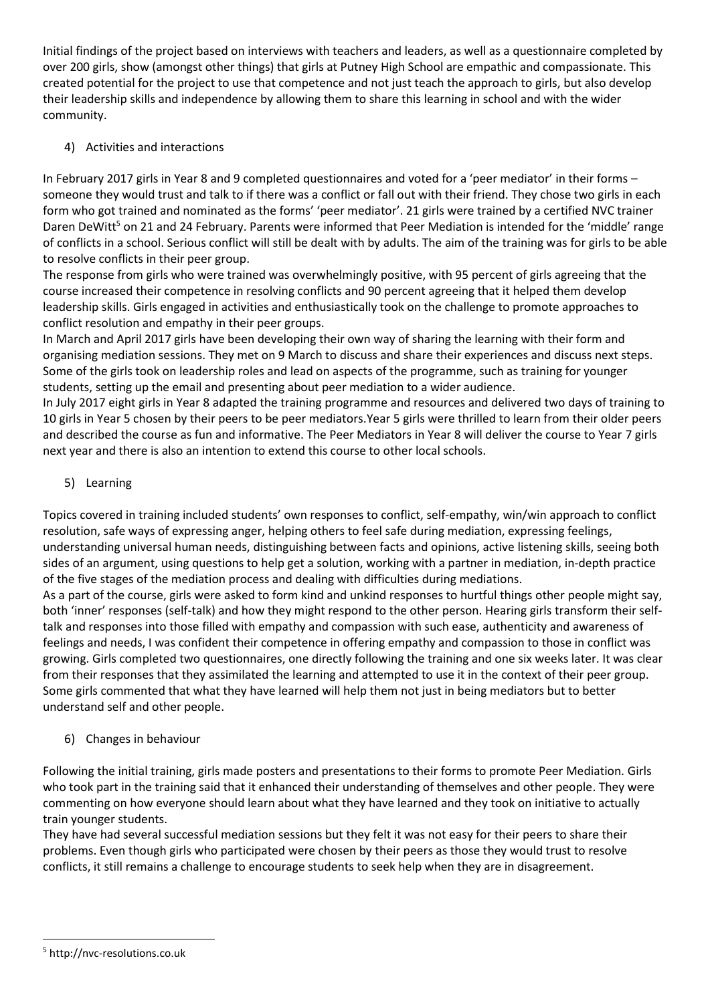Initial findings of the project based on interviews with teachers and leaders, as well as a questionnaire completed by over 200 girls, show (amongst other things) that girls at Putney High School are empathic and compassionate. This created potential for the project to use that competence and not just teach the approach to girls, but also develop their leadership skills and independence by allowing them to share this learning in school and with the wider community.

## 4) Activities and interactions

In February 2017 girls in Year 8 and 9 completed questionnaires and voted for a 'peer mediator' in their forms – someone they would trust and talk to if there was a conflict or fall out with their friend. They chose two girls in each form who got trained and nominated as the forms' 'peer mediator'. 21 girls were trained by a certified NVC trainer Daren DeWitt<sup>5</sup> on 21 and 24 February. Parents were informed that Peer Mediation is intended for the 'middle' range of conflicts in a school. Serious conflict will still be dealt with by adults. The aim of the training was for girls to be able to resolve conflicts in their peer group.

The response from girls who were trained was overwhelmingly positive, with 95 percent of girls agreeing that the course increased their competence in resolving conflicts and 90 percent agreeing that it helped them develop leadership skills. Girls engaged in activities and enthusiastically took on the challenge to promote approaches to conflict resolution and empathy in their peer groups.

In March and April 2017 girls have been developing their own way of sharing the learning with their form and organising mediation sessions. They met on 9 March to discuss and share their experiences and discuss next steps. Some of the girls took on leadership roles and lead on aspects of the programme, such as training for younger students, setting up the email and presenting about peer mediation to a wider audience.

In July 2017 eight girls in Year 8 adapted the training programme and resources and delivered two days of training to 10 girls in Year 5 chosen by their peers to be peer mediators.Year 5 girls were thrilled to learn from their older peers and described the course as fun and informative. The Peer Mediators in Year 8 will deliver the course to Year 7 girls next year and there is also an intention to extend this course to other local schools.

# 5) Learning

Topics covered in training included students' own responses to conflict, self-empathy, win/win approach to conflict resolution, safe ways of expressing anger, helping others to feel safe during mediation, expressing feelings, understanding universal human needs, distinguishing between facts and opinions, active listening skills, seeing both sides of an argument, using questions to help get a solution, working with a partner in mediation, in-depth practice of the five stages of the mediation process and dealing with difficulties during mediations.

As a part of the course, girls were asked to form kind and unkind responses to hurtful things other people might say, both 'inner' responses (self-talk) and how they might respond to the other person. Hearing girls transform their selftalk and responses into those filled with empathy and compassion with such ease, authenticity and awareness of feelings and needs, I was confident their competence in offering empathy and compassion to those in conflict was growing. Girls completed two questionnaires, one directly following the training and one six weeks later. It was clear from their responses that they assimilated the learning and attempted to use it in the context of their peer group. Some girls commented that what they have learned will help them not just in being mediators but to better understand self and other people.

## 6) Changes in behaviour

Following the initial training, girls made posters and presentations to their forms to promote Peer Mediation. Girls who took part in the training said that it enhanced their understanding of themselves and other people. They were commenting on how everyone should learn about what they have learned and they took on initiative to actually train younger students.

They have had several successful mediation sessions but they felt it was not easy for their peers to share their problems. Even though girls who participated were chosen by their peers as those they would trust to resolve conflicts, it still remains a challenge to encourage students to seek help when they are in disagreement.

**<sup>.</sup>** <sup>5</sup> http://nvc-resolutions.co.uk